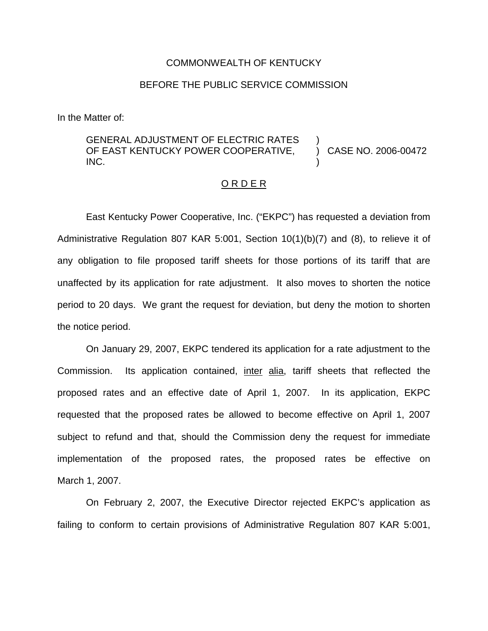#### COMMONWEALTH OF KENTUCKY

## BEFORE THE PUBLIC SERVICE COMMISSION

In the Matter of:

#### GENERAL ADJUSTMENT OF ELECTRIC RATES OF EAST KENTUCKY POWER COOPERATIVE, INC. ) ) CASE NO. 2006-00472 )

## O R D E R

East Kentucky Power Cooperative, Inc. ("EKPC") has requested a deviation from Administrative Regulation 807 KAR 5:001, Section 10(1)(b)(7) and (8), to relieve it of any obligation to file proposed tariff sheets for those portions of its tariff that are unaffected by its application for rate adjustment. It also moves to shorten the notice period to 20 days. We grant the request for deviation, but deny the motion to shorten the notice period.

On January 29, 2007, EKPC tendered its application for a rate adjustment to the Commission. Its application contained, inter alia, tariff sheets that reflected the proposed rates and an effective date of April 1, 2007. In its application, EKPC requested that the proposed rates be allowed to become effective on April 1, 2007 subject to refund and that, should the Commission deny the request for immediate implementation of the proposed rates, the proposed rates be effective on March 1, 2007.

On February 2, 2007, the Executive Director rejected EKPC's application as failing to conform to certain provisions of Administrative Regulation 807 KAR 5:001,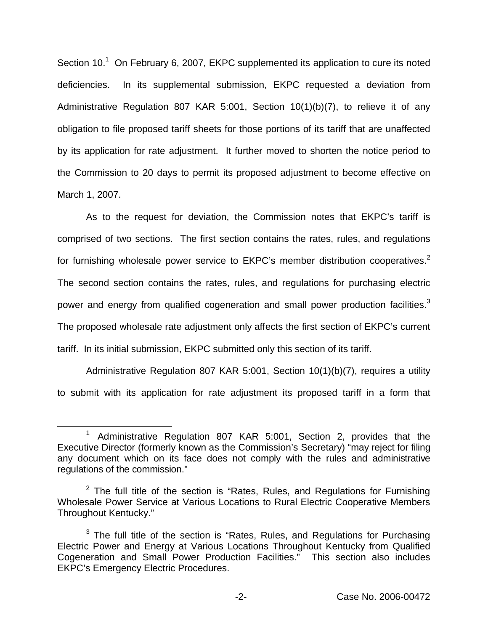Section  $10<sup>1</sup>$  On February 6, 2007, EKPC supplemented its application to cure its noted deficiencies. In its supplemental submission, EKPC requested a deviation from Administrative Regulation 807 KAR 5:001, Section 10(1)(b)(7), to relieve it of any obligation to file proposed tariff sheets for those portions of its tariff that are unaffected by its application for rate adjustment. It further moved to shorten the notice period to the Commission to 20 days to permit its proposed adjustment to become effective on March 1, 2007.

As to the request for deviation, the Commission notes that EKPC's tariff is comprised of two sections. The first section contains the rates, rules, and regulations for furnishing wholesale power service to EKPC's member distribution cooperatives.<sup>2</sup> The second section contains the rates, rules, and regulations for purchasing electric power and energy from qualified cogeneration and small power production facilities.<sup>3</sup> The proposed wholesale rate adjustment only affects the first section of EKPC's current tariff. In its initial submission, EKPC submitted only this section of its tariff.

Administrative Regulation 807 KAR 5:001, Section 10(1)(b)(7), requires a utility to submit with its application for rate adjustment its proposed tariff in a form that

<sup>1</sup> Administrative Regulation 807 KAR 5:001, Section 2, provides that the Executive Director (formerly known as the Commission's Secretary) "may reject for filing any document which on its face does not comply with the rules and administrative regulations of the commission."

 $2$  The full title of the section is "Rates, Rules, and Regulations for Furnishing Wholesale Power Service at Various Locations to Rural Electric Cooperative Members Throughout Kentucky."

 $3$  The full title of the section is "Rates, Rules, and Regulations for Purchasing Electric Power and Energy at Various Locations Throughout Kentucky from Qualified Cogeneration and Small Power Production Facilities." This section also includes EKPC's Emergency Electric Procedures.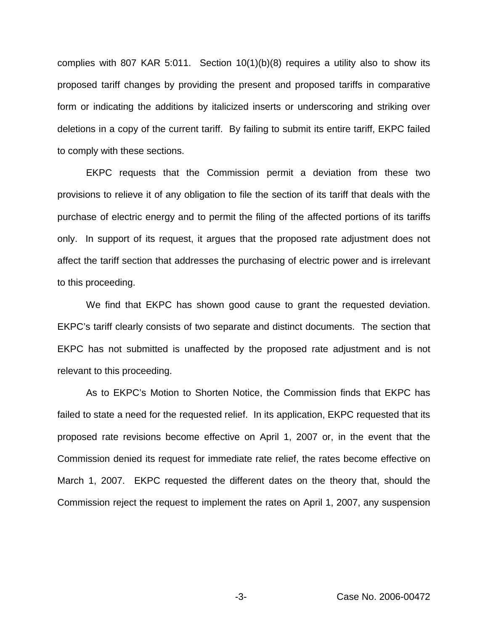complies with 807 KAR 5:011. Section 10(1)(b)(8) requires a utility also to show its proposed tariff changes by providing the present and proposed tariffs in comparative form or indicating the additions by italicized inserts or underscoring and striking over deletions in a copy of the current tariff. By failing to submit its entire tariff, EKPC failed to comply with these sections.

EKPC requests that the Commission permit a deviation from these two provisions to relieve it of any obligation to file the section of its tariff that deals with the purchase of electric energy and to permit the filing of the affected portions of its tariffs only. In support of its request, it argues that the proposed rate adjustment does not affect the tariff section that addresses the purchasing of electric power and is irrelevant to this proceeding.

We find that EKPC has shown good cause to grant the requested deviation. EKPC's tariff clearly consists of two separate and distinct documents. The section that EKPC has not submitted is unaffected by the proposed rate adjustment and is not relevant to this proceeding.

As to EKPC's Motion to Shorten Notice, the Commission finds that EKPC has failed to state a need for the requested relief. In its application, EKPC requested that its proposed rate revisions become effective on April 1, 2007 or, in the event that the Commission denied its request for immediate rate relief, the rates become effective on March 1, 2007. EKPC requested the different dates on the theory that, should the Commission reject the request to implement the rates on April 1, 2007, any suspension

-3- Case No. 2006-00472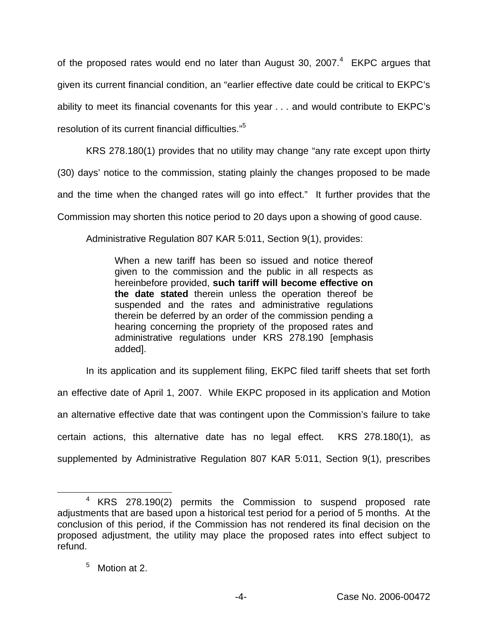of the proposed rates would end no later than August 30, 2007.<sup>4</sup> EKPC argues that given its current financial condition, an "earlier effective date could be critical to EKPC's ability to meet its financial covenants for this year . . . and would contribute to EKPC's resolution of its current financial difficulties."<sup>5</sup>

KRS 278.180(1) provides that no utility may change "any rate except upon thirty (30) days' notice to the commission, stating plainly the changes proposed to be made and the time when the changed rates will go into effect." It further provides that the Commission may shorten this notice period to 20 days upon a showing of good cause.

Administrative Regulation 807 KAR 5:011, Section 9(1), provides:

When a new tariff has been so issued and notice thereof given to the commission and the public in all respects as hereinbefore provided, **such tariff will become effective on the date stated** therein unless the operation thereof be suspended and the rates and administrative regulations therein be deferred by an order of the commission pending a hearing concerning the propriety of the proposed rates and administrative regulations under KRS 278.190 [emphasis added].

In its application and its supplement filing, EKPC filed tariff sheets that set forth an effective date of April 1, 2007. While EKPC proposed in its application and Motion an alternative effective date that was contingent upon the Commission's failure to take certain actions, this alternative date has no legal effect. KRS 278.180(1), as supplemented by Administrative Regulation 807 KAR 5:011, Section 9(1), prescribes

# <sup>5</sup> Motion at 2.

<sup>4</sup> KRS 278.190(2) permits the Commission to suspend proposed rate adjustments that are based upon a historical test period for a period of 5 months. At the conclusion of this period, if the Commission has not rendered its final decision on the proposed adjustment, the utility may place the proposed rates into effect subject to refund.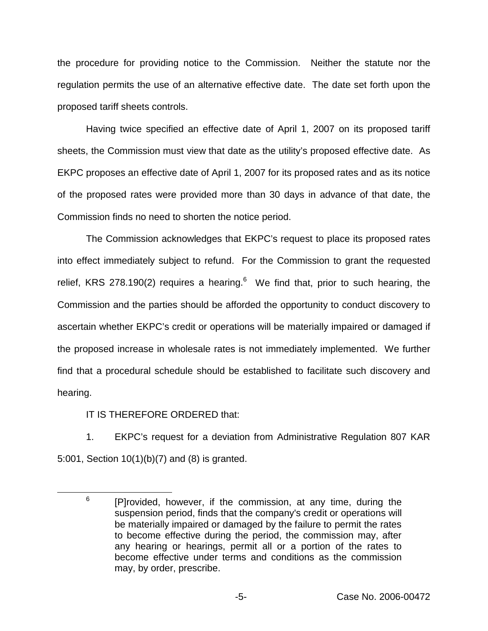the procedure for providing notice to the Commission. Neither the statute nor the regulation permits the use of an alternative effective date. The date set forth upon the proposed tariff sheets controls.

Having twice specified an effective date of April 1, 2007 on its proposed tariff sheets, the Commission must view that date as the utility's proposed effective date. As EKPC proposes an effective date of April 1, 2007 for its proposed rates and as its notice of the proposed rates were provided more than 30 days in advance of that date, the Commission finds no need to shorten the notice period.

The Commission acknowledges that EKPC's request to place its proposed rates into effect immediately subject to refund. For the Commission to grant the requested relief, KRS 278.190(2) requires a hearing.<sup>6</sup> We find that, prior to such hearing, the Commission and the parties should be afforded the opportunity to conduct discovery to ascertain whether EKPC's credit or operations will be materially impaired or damaged if the proposed increase in wholesale rates is not immediately implemented. We further find that a procedural schedule should be established to facilitate such discovery and hearing.

IT IS THEREFORE ORDERED that:

1. EKPC's request for a deviation from Administrative Regulation 807 KAR 5:001, Section 10(1)(b)(7) and (8) is granted.

 $6$  [P]rovided, however, if the commission, at any time, during the suspension period, finds that the company's credit or operations will be materially impaired or damaged by the failure to permit the rates to become effective during the period, the commission may, after any hearing or hearings, permit all or a portion of the rates to become effective under terms and conditions as the commission may, by order, prescribe.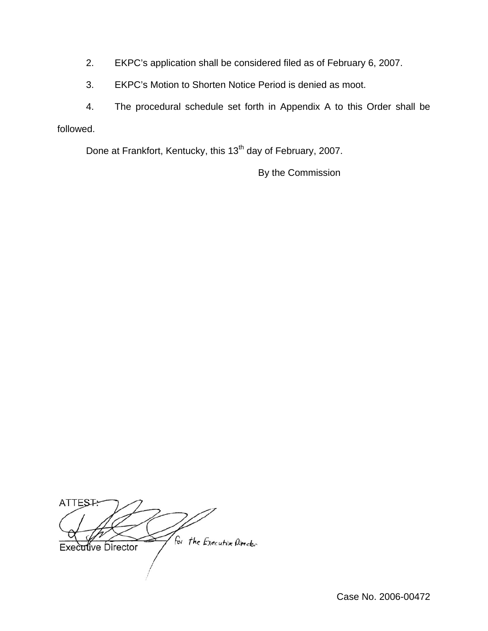- 2. EKPC's application shall be considered filed as of February 6, 2007.
- 3. EKPC's Motion to Shorten Notice Period is denied as moot.

4. The procedural schedule set forth in Appendix A to this Order shall be followed.

Done at Frankfort, Kentucky, this 13<sup>th</sup> day of February, 2007.

By the Commission

**ATTES** For the Executive Pirector Executive Director